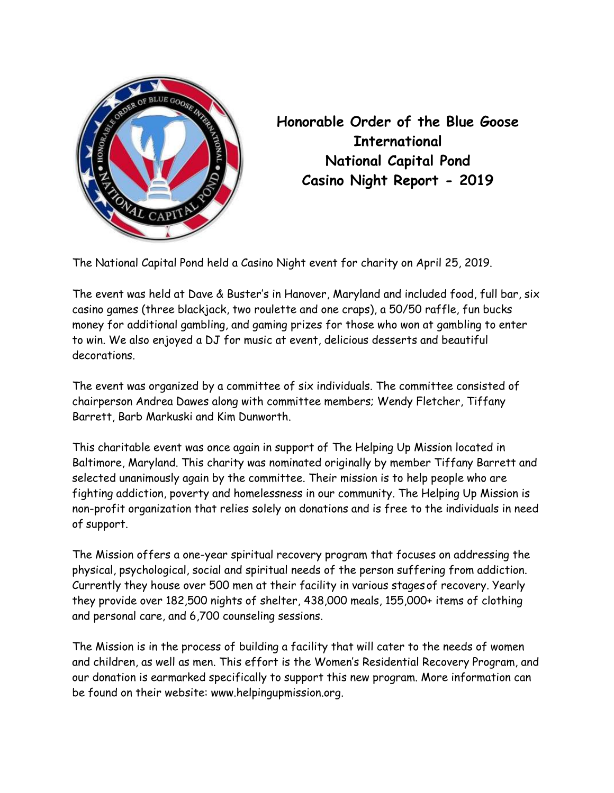

Honorable Order of the Blue Goose **International** National Capital Pond Casino Night Report - 2019

The National Capital Pond held a Casino Night event for charity on April 25, 2019.

The event was held at Dave & Buster's in Hanover, Maryland and included food, full bar, six casino games (three blackjack, two roulette and one craps), a 50/50 raffle, fun bucks money for additional gambling, and gaming prizes for those who won at gambling to enter to win. We also enjoyed a DJ for music at event, delicious desserts and beautiful decorations.

The event was organized by a committee of six individuals. The committee consisted of chairperson Andrea Dawes along with committee members; Wendy Fletcher, Tiffany Barrett, Barb Markuski and Kim Dunworth.

This charitable event was once again in support of The Helping Up Mission located in Baltimore, Maryland. This charity was nominated originally by member Tiffany Barrett and selected unanimously again by the committee. Their mission is to help people who are fighting addiction, poverty and homelessness in our community. The Helping Up Mission is non-profit organization that relies solely on donations and is free to the individuals in need of support.

The Mission offers a one-year spiritual recovery program that focuses on addressing the physical, psychological, social and spiritual needs of the person suffering from addiction. Currently they house over 500 men at their facility in various stages of recovery. Yearly they provide over 182,500 nights of shelter, 438,000 meals, 155,000+ items of clothing and personal care, and 6,700 counseling sessions.

The Mission is in the process of building a facility that will cater to the needs of women and children, as well as men. This effort is the Women's Residential Recovery Program, and our donation is earmarked specifically to support this new program. More information can be found on their website: www.helpingupmission.org.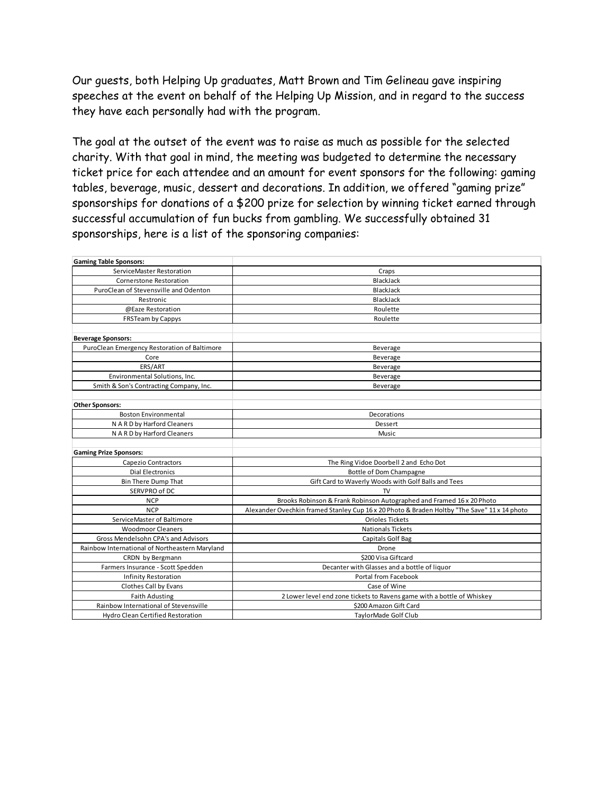Our guests, both Helping Up graduates, Matt Brown and Tim Gelineau gave inspiring speeches at the event on behalf of the Helping Up Mission, and in regard to the success they have each personally had with the program.

The goal at the outset of the event was to raise as much as possible for the selected charity. With that goal in mind, the meeting was budgeted to determine the necessary ticket price for each attendee and an amount for event sponsors for the following: gaming tables, beverage, music, dessert and decorations. In addition, we offered "gaming prize" sponsorships for donations of a \$200 prize for selection by winning ticket earned through successful accumulation of fun bucks from gambling. We successfully obtained 31 sponsorships, here is a list of the sponsoring companies:

| <b>Gaming Table Sponsors:</b>                  |                                                                                              |
|------------------------------------------------|----------------------------------------------------------------------------------------------|
| ServiceMaster Restoration                      | Craps                                                                                        |
| <b>Cornerstone Restoration</b>                 | BlackJack                                                                                    |
| PuroClean of Stevensville and Odenton          | BlackJack                                                                                    |
| Restronic                                      | BlackJack                                                                                    |
| @Eaze Restoration                              | Roulette                                                                                     |
| <b>FRSTeam by Cappys</b>                       | Roulette                                                                                     |
|                                                |                                                                                              |
| <b>Beverage Sponsors:</b>                      |                                                                                              |
| PuroClean Emergency Restoration of Baltimore   | Beverage                                                                                     |
| Core                                           | Beverage                                                                                     |
| ERS/ART                                        | Beverage                                                                                     |
| Environmental Solutions, Inc.                  | Beverage                                                                                     |
| Smith & Son's Contracting Company, Inc.        | Beverage                                                                                     |
|                                                |                                                                                              |
| <b>Other Sponsors:</b>                         |                                                                                              |
| <b>Boston Environmental</b>                    | Decorations                                                                                  |
| N A R D by Harford Cleaners                    | Dessert                                                                                      |
| N A R D by Harford Cleaners                    | Music                                                                                        |
|                                                |                                                                                              |
| <b>Gaming Prize Sponsors:</b>                  |                                                                                              |
| <b>Capezio Contractors</b>                     | The Ring Vidoe Doorbell 2 and Echo Dot                                                       |
| <b>Dial Electronics</b>                        | Bottle of Dom Champagne                                                                      |
| <b>Bin There Dump That</b>                     | Gift Card to Waverly Woods with Golf Balls and Tees                                          |
| SERVPRO of DC                                  | <b>TV</b>                                                                                    |
| <b>NCP</b>                                     | Brooks Robinson & Frank Robinson Autographed and Framed 16 x 20 Photo                        |
| <b>NCP</b>                                     | Alexander Ovechkin framed Stanley Cup 16 x 20 Photo & Braden Holtby "The Save" 11 x 14 photo |
| ServiceMaster of Baltimore                     | <b>Orioles Tickets</b>                                                                       |
| <b>Woodmoor Cleaners</b>                       | <b>Nationals Tickets</b>                                                                     |
| Gross Mendelsohn CPA's and Advisors            | Capitals Golf Bag                                                                            |
| Rainbow International of Northeastern Maryland | Drone                                                                                        |
| CRDN by Bergmann                               | \$200 Visa Giftcard                                                                          |
| Farmers Insurance - Scott Spedden              | Decanter with Glasses and a bottle of liquor                                                 |
| <b>Infinity Restoration</b>                    | Portal from Facebook                                                                         |
| Clothes Call by Evans                          | Case of Wine                                                                                 |
| <b>Faith Adusting</b>                          | 2 Lower level end zone tickets to Ravens game with a bottle of Whiskey                       |
| Rainbow International of Stevensville          | \$200 Amazon Gift Card                                                                       |
| <b>Hydro Clean Certified Restoration</b>       | TaylorMade Golf Club                                                                         |